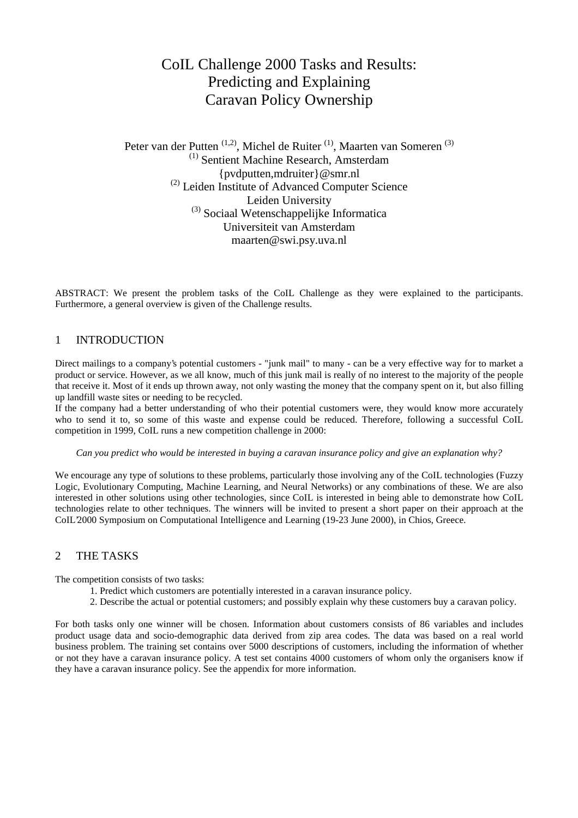# CoIL Challenge 2000 Tasks and Results: Predicting and Explaining Caravan Policy Ownership

Peter van der Putten<sup>(1,2)</sup>, Michel de Ruiter<sup>(1)</sup>, Maarten van Someren<sup>(3)</sup> (1) Sentient Machine Research, Amsterdam {pvdputten,mdruiter}@smr.nl (2) Leiden Institute of Advanced Computer Science Leiden University (3) Sociaal Wetenschappelijke Informatica Universiteit van Amsterdam maarten@swi.psy.uva.nl

ABSTRACT: We present the problem tasks of the CoIL Challenge as they were explained to the participants. Furthermore, a general overview is given of the Challenge results.

# 1 INTRODUCTION

Direct mailings to a company's potential customers - "junk mail" to many - can be a very effective way for to market a product or service. However, as we all know, much of this junk mail is really of no interest to the majority of the people that receive it. Most of it ends up thrown away, not only wasting the money that the company spent on it, but also filling up landfill waste sites or needing to be recycled.

If the company had a better understanding of who their potential customers were, they would know more accurately who to send it to, so some of this waste and expense could be reduced. Therefore, following a successful CoIL competition in 1999, CoIL runs a new competition challenge in 2000:

### *Can you predict who would be interested in buying a caravan insurance policy and give an explanation why?*

We encourage any type of solutions to these problems, particularly those involving any of the CoIL technologies (Fuzzy Logic, Evolutionary Computing, Machine Learning, and Neural Networks) or any combinations of these. We are also interested in other solutions using other technologies, since CoIL is interested in being able to demonstrate how CoIL technologies relate to other techniques. The winners will be invited to present a short paper on their approach at the CoIL'2000 Symposium on Computational Intelligence and Learning (19-23 June 2000), in Chios, Greece.

## 2 THE TASKS

The competition consists of two tasks:

- 1. Predict which customers are potentially interested in a caravan insurance policy.
- 2. Describe the actual or potential customers; and possibly explain why these customers buy a caravan policy.

For both tasks only one winner will be chosen. Information about customers consists of 86 variables and includes product usage data and socio-demographic data derived from zip area codes. The data was based on a real world business problem. The training set contains over 5000 descriptions of customers, including the information of whether or not they have a caravan insurance policy. A test set contains 4000 customers of whom only the organisers know if they have a caravan insurance policy. See the appendix for more information.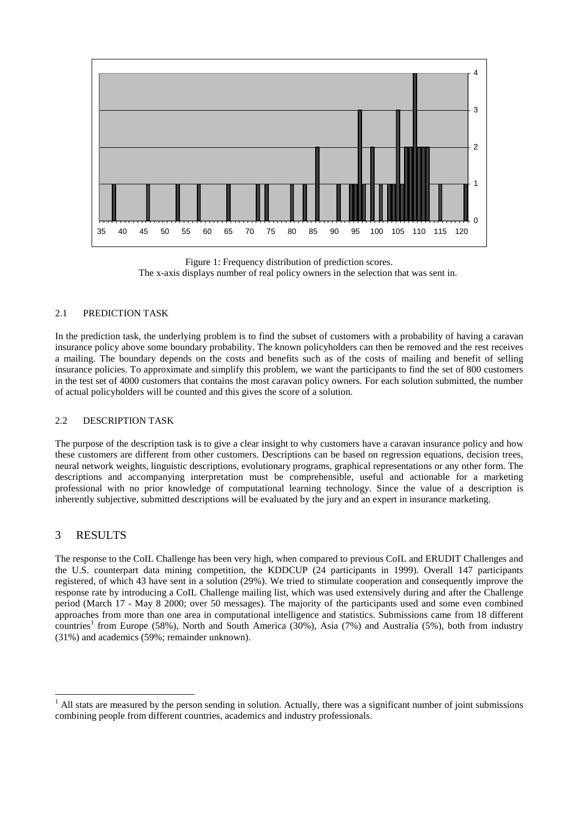



## 2.1 PREDICTION TASK

In the prediction task, the underlying problem is to find the subset of customers with a probability of having a caravan insurance policy above some boundary probability. The known policyholders can then be removed and the rest receives a mailing. The boundary depends on the costs and benefits such as of the costs of mailing and benefit of selling insurance policies. To approximate and simplify this problem, we want the participants to find the set of 800 customers in the test set of 4000 customers that contains the most caravan policy owners. For each solution submitted, the number of actual policyholders will be counted and this gives the score of a solution.

#### 2.2 DESCRIPTION TASK

The purpose of the description task is to give a clear insight to why customers have a caravan insurance policy and how these customers are different from other customers. Descriptions can be based on regression equations, decision trees, neural network weights, linguistic descriptions, evolutionary programs, graphical representations or any other form. The descriptions and accompanying interpretation must be comprehensible, useful and actionable for a marketing professional with no prior knowledge of computational learning technology. Since the value of a description is inherently subjective, submitted descriptions will be evaluated by the jury and an expert in insurance marketing.

## 3 RESULTS

The response to the CoIL Challenge has been very high, when compared to previous CoIL and ERUDIT Challenges and the U.S. counterpart data mining competition, the KDDCUP (24 participants in 1999). Overall 147 participants registered, of which 43 have sent in a solution (29%). We tried to stimulate cooperation and consequently improve the response rate by introducing a CoIL Challenge mailing list, which was used extensively during and after the Challenge period (March 17 - May 8 2000; over 50 messages). The majority of the participants used and some even combined approaches from more than one area in computational intelligence and statistics. Submissions came from 18 different countries<sup>1</sup> from Europe (58%), North and South America (30%), Asia (7%) and Australia (5%), both from industry (31%) and academics (59%; remainder unknown).

<sup>&</sup>lt;sup>1</sup> All stats are measured by the person sending in solution. Actually, there was a significant number of joint submissions combining people from different countries, academics and industry professionals.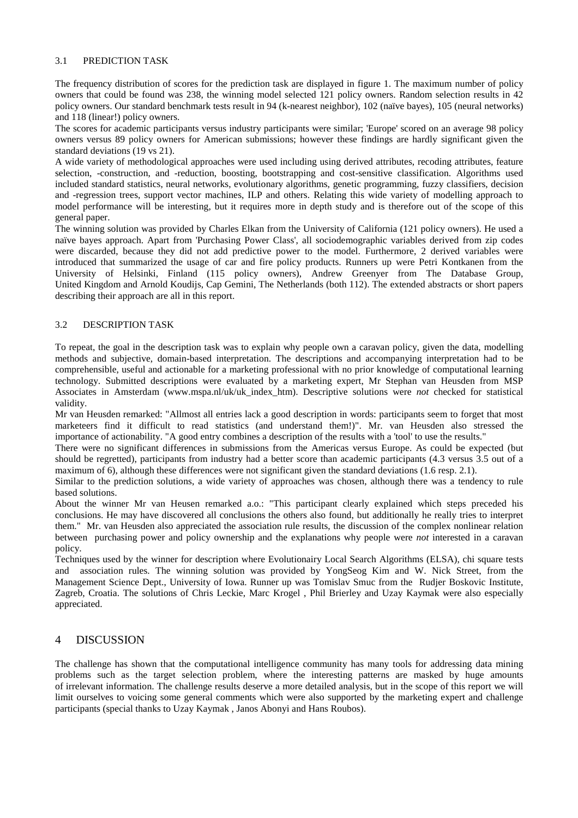### 3.1 PREDICTION TASK

The frequency distribution of scores for the prediction task are displayed in figure 1. The maximum number of policy owners that could be found was 238, the winning model selected 121 policy owners. Random selection results in 42 policy owners. Our standard benchmark tests result in 94 (k-nearest neighbor), 102 (naïve bayes), 105 (neural networks) and 118 (linear!) policy owners.

The scores for academic participants versus industry participants were similar; 'Europe' scored on an average 98 policy owners versus 89 policy owners for American submissions; however these findings are hardly significant given the standard deviations (19 vs 21).

A wide variety of methodological approaches were used including using derived attributes, recoding attributes, feature selection, -construction, and -reduction, boosting, bootstrapping and cost-sensitive classification. Algorithms used included standard statistics, neural networks, evolutionary algorithms, genetic programming, fuzzy classifiers, decision and -regression trees, support vector machines, ILP and others. Relating this wide variety of modelling approach to model performance will be interesting, but it requires more in depth study and is therefore out of the scope of this general paper.

The winning solution was provided by Charles Elkan from the University of California (121 policy owners). He used a naïve bayes approach. Apart from 'Purchasing Power Class', all sociodemographic variables derived from zip codes were discarded, because they did not add predictive power to the model. Furthermore, 2 derived variables were introduced that summarized the usage of car and fire policy products. Runners up were Petri Kontkanen from the University of Helsinki, Finland (115 policy owners), Andrew Greenyer from The Database Group, United Kingdom and Arnold Koudijs, Cap Gemini, The Netherlands (both 112). The extended abstracts or short papers describing their approach are all in this report.

## 3.2 DESCRIPTION TASK

To repeat, the goal in the description task was to explain why people own a caravan policy, given the data, modelling methods and subjective, domain-based interpretation. The descriptions and accompanying interpretation had to be comprehensible, useful and actionable for a marketing professional with no prior knowledge of computational learning technology. Submitted descriptions were evaluated by a marketing expert, Mr Stephan van Heusden from MSP Associates in Amsterdam (www.mspa.nl/uk/uk\_index\_htm). Descriptive solutions were *not* checked for statistical validity.

Mr van Heusden remarked: "Allmost all entries lack a good description in words: participants seem to forget that most marketeers find it difficult to read statistics (and understand them!)". Mr. van Heusden also stressed the importance of actionability. "A good entry combines a description of the results with a 'tool' to use the results."

There were no significant differences in submissions from the Americas versus Europe. As could be expected (but should be regretted), participants from industry had a better score than academic participants (4.3 versus 3.5 out of a maximum of 6), although these differences were not significant given the standard deviations (1.6 resp. 2.1).

Similar to the prediction solutions, a wide variety of approaches was chosen, although there was a tendency to rule based solutions.

About the winner Mr van Heusen remarked a.o.: "This participant clearly explained which steps preceded his conclusions. He may have discovered all conclusions the others also found, but additionally he really tries to interpret them." Mr. van Heusden also appreciated the association rule results, the discussion of the complex nonlinear relation between purchasing power and policy ownership and the explanations why people were *not* interested in a caravan policy.

Techniques used by the winner for description where Evolutionairy Local Search Algorithms (ELSA), chi square tests and association rules. The winning solution was provided by YongSeog Kim and W. Nick Street, from the Management Science Dept., University of Iowa. Runner up was Tomislav Smuc from the Rudjer Boskovic Institute, Zagreb, Croatia. The solutions of Chris Leckie, Marc Krogel , Phil Brierley and Uzay Kaymak were also especially appreciated.

## 4 DISCUSSION

The challenge has shown that the computational intelligence community has many tools for addressing data mining problems such as the target selection problem, where the interesting patterns are masked by huge amounts of irrelevant information. The challenge results deserve a more detailed analysis, but in the scope of this report we will limit ourselves to voicing some general comments which were also supported by the marketing expert and challenge participants (special thanks to Uzay Kaymak , Janos Abonyi and Hans Roubos).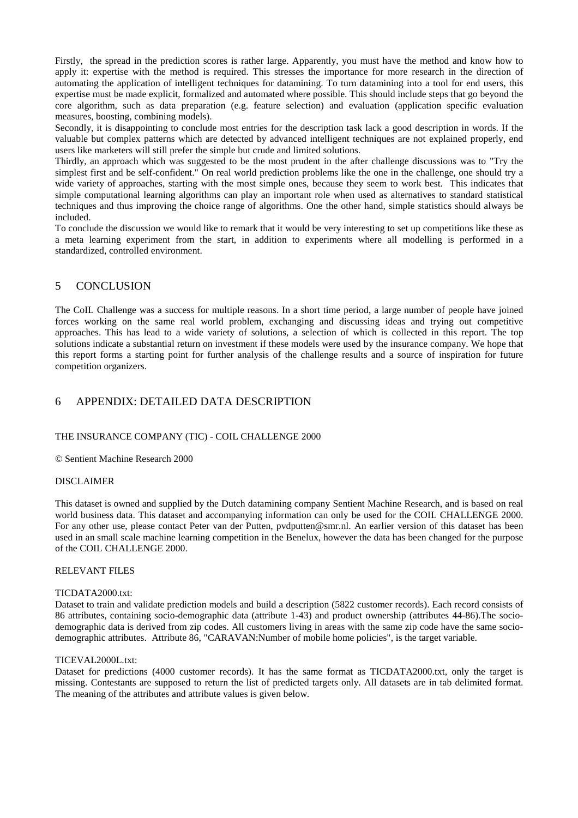Firstly, the spread in the prediction scores is rather large. Apparently, you must have the method and know how to apply it: expertise with the method is required. This stresses the importance for more research in the direction of automating the application of intelligent techniques for datamining. To turn datamining into a tool for end users, this expertise must be made explicit, formalized and automated where possible. This should include steps that go beyond the core algorithm, such as data preparation (e.g. feature selection) and evaluation (application specific evaluation measures, boosting, combining models).

Secondly, it is disappointing to conclude most entries for the description task lack a good description in words. If the valuable but complex patterns which are detected by advanced intelligent techniques are not explained properly, end users like marketers will still prefer the simple but crude and limited solutions.

Thirdly, an approach which was suggested to be the most prudent in the after challenge discussions was to "Try the simplest first and be self-confident." On real world prediction problems like the one in the challenge, one should try a wide variety of approaches, starting with the most simple ones, because they seem to work best. This indicates that simple computational learning algorithms can play an important role when used as alternatives to standard statistical techniques and thus improving the choice range of algorithms. One the other hand, simple statistics should always be included.

To conclude the discussion we would like to remark that it would be very interesting to set up competitions like these as a meta learning experiment from the start, in addition to experiments where all modelling is performed in a standardized, controlled environment.

## 5 CONCLUSION

The CoIL Challenge was a success for multiple reasons. In a short time period, a large number of people have joined forces working on the same real world problem, exchanging and discussing ideas and trying out competitive approaches. This has lead to a wide variety of solutions, a selection of which is collected in this report. The top solutions indicate a substantial return on investment if these models were used by the insurance company. We hope that this report forms a starting point for further analysis of the challenge results and a source of inspiration for future competition organizers.

## 6 APPENDIX: DETAILED DATA DESCRIPTION

## THE INSURANCE COMPANY (TIC) - COIL CHALLENGE 2000

© Sentient Machine Research 2000

## DISCLAIMER

This dataset is owned and supplied by the Dutch datamining company Sentient Machine Research, and is based on real world business data. This dataset and accompanying information can only be used for the COIL CHALLENGE 2000. For any other use, please contact Peter van der Putten, pvdputten@smr.nl. An earlier version of this dataset has been used in an small scale machine learning competition in the Benelux, however the data has been changed for the purpose of the COIL CHALLENGE 2000.

## RELEVANT FILES

#### TICDATA2000.txt:

Dataset to train and validate prediction models and build a description (5822 customer records). Each record consists of 86 attributes, containing socio-demographic data (attribute 1-43) and product ownership (attributes 44-86).The sociodemographic data is derived from zip codes. All customers living in areas with the same zip code have the same sociodemographic attributes. Attribute 86, "CARAVAN:Number of mobile home policies", is the target variable.

#### TICEVAL2000L.txt:

Dataset for predictions (4000 customer records). It has the same format as TICDATA2000.txt, only the target is missing. Contestants are supposed to return the list of predicted targets only. All datasets are in tab delimited format. The meaning of the attributes and attribute values is given below.